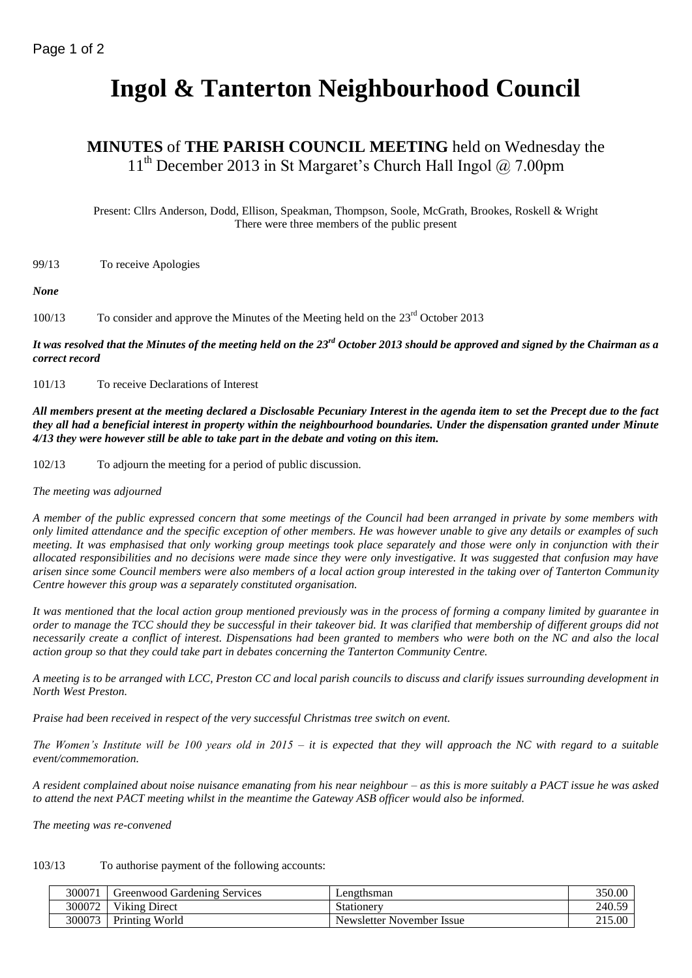# **Ingol & Tanterton Neighbourhood Council**

# **MINUTES** of **THE PARISH COUNCIL MEETING** held on Wednesday the  $11<sup>th</sup>$  December 2013 in St Margaret's Church Hall Ingol  $@$  7.00pm

Present: Cllrs Anderson, Dodd, Ellison, Speakman, Thompson, Soole, McGrath, Brookes, Roskell & Wright There were three members of the public present

99/13 To receive Apologies

*None*

100/13 To consider and approve the Minutes of the Meeting held on the 23<sup>rd</sup> October 2013

*It was resolved that the Minutes of the meeting held on the 23rd October 2013 should be approved and signed by the Chairman as a correct record*

101/13 To receive Declarations of Interest

*All members present at the meeting declared a Disclosable Pecuniary Interest in the agenda item to set the Precept due to the fact they all had a beneficial interest in property within the neighbourhood boundaries. Under the dispensation granted under Minute 4/13 they were however still be able to take part in the debate and voting on this item.*

102/13 To adjourn the meeting for a period of public discussion.

*The meeting was adjourned*

*A member of the public expressed concern that some meetings of the Council had been arranged in private by some members with only limited attendance and the specific exception of other members. He was however unable to give any details or examples of such meeting. It was emphasised that only working group meetings took place separately and those were only in conjunction with their allocated responsibilities and no decisions were made since they were only investigative. It was suggested that confusion may have arisen since some Council members were also members of a local action group interested in the taking over of Tanterton Community Centre however this group was a separately constituted organisation.*

*It was mentioned that the local action group mentioned previously was in the process of forming a company limited by guarantee in order to manage the TCC should they be successful in their takeover bid. It was clarified that membership of different groups did not necessarily create a conflict of interest. Dispensations had been granted to members who were both on the NC and also the local action group so that they could take part in debates concerning the Tanterton Community Centre.*

*A meeting is to be arranged with LCC, Preston CC and local parish councils to discuss and clarify issues surrounding development in North West Preston.*

*Praise had been received in respect of the very successful Christmas tree switch on event.*

*The Women's Institute will be 100 years old in 2015 – it is expected that they will approach the NC with regard to a suitable event/commemoration.*

*A resident complained about noise nuisance emanating from his near neighbour – as this is more suitably a PACT issue he was asked to attend the next PACT meeting whilst in the meantime the Gateway ASB officer would also be informed.*

*The meeting was re-convened*

# 103/13 To authorise payment of the following accounts:

| 300071 | Greenwood Gardening Services | Lengthsman                | 350.00 |
|--------|------------------------------|---------------------------|--------|
| 300072 | <b>Viking Direct</b>         | Stationery                | 240.59 |
| 300073 | Printing World               | Newsletter November Issue | 215.00 |